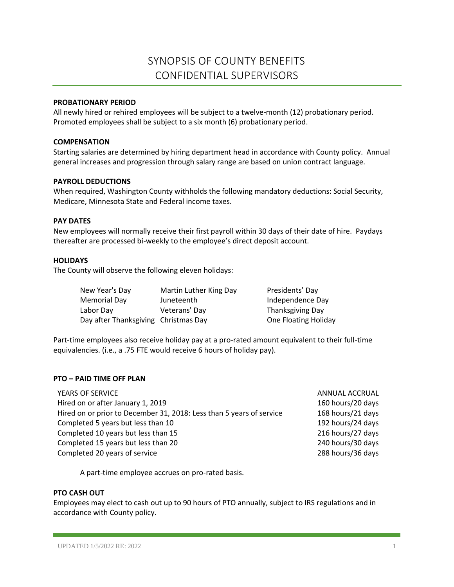# SYNOPSIS OF COUNTY BENEFITS CONFIDENTIAL SUPERVISORS

## **PROBATIONARY PERIOD**

All newly hired or rehired employees will be subject to a twelve-month (12) probationary period. Promoted employees shall be subject to a six month (6) probationary period.

#### **COMPENSATION**

Starting salaries are determined by hiring department head in accordance with County policy. Annual general increases and progression through salary range are based on union contract language.

## **PAYROLL DEDUCTIONS**

When required, Washington County withholds the following mandatory deductions: Social Security, Medicare, Minnesota State and Federal income taxes.

## **PAY DATES**

New employees will normally receive their first payroll within 30 days of their date of hire. Paydays thereafter are processed bi-weekly to the employee's direct deposit account.

## **HOLIDAYS**

The County will observe the following eleven holidays:

| New Year's Day                       | Martin Luther King Day | Presidents' Day      |
|--------------------------------------|------------------------|----------------------|
| Memorial Day                         | Juneteenth             | Independence Day     |
| Labor Day                            | Veterans' Day          | Thanksgiving Day     |
| Day after Thanksgiving Christmas Day |                        | One Floating Holiday |

Part-time employees also receive holiday pay at a pro-rated amount equivalent to their full-time equivalencies. (i.e., a .75 FTE would receive 6 hours of holiday pay).

# **PTO – PAID TIME OFF PLAN**

ANNUAL ACCRUAL 160 hours/20 days 168 hours/21 days 192 hours/24 days 216 hours/27 days 240 hours/30 days 288 hours/36 days

A part-time employee accrues on pro-rated basis.

#### **PTO CASH OUT**

Employees may elect to cash out up to 90 hours of PTO annually, subject to IRS regulations and in accordance with County policy.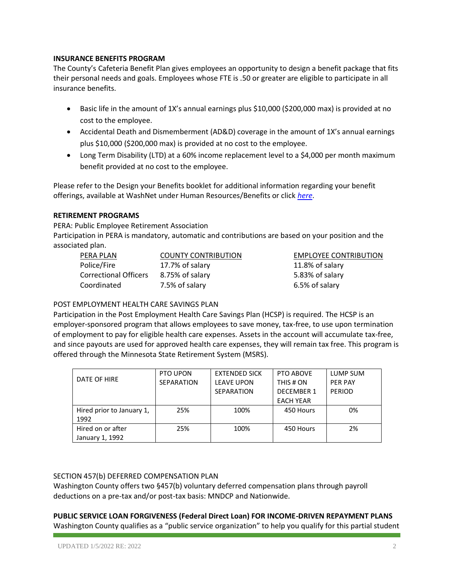# **INSURANCE BENEFITS PROGRAM**

The County's Cafeteria Benefit Plan gives employees an opportunity to design a benefit package that fits their personal needs and goals. Employees whose FTE is .50 or greater are eligible to participate in all insurance benefits.

- Basic life in the amount of 1X's annual earnings plus \$10,000 (\$200,000 max) is provided at no cost to the employee.
- Accidental Death and Dismemberment (AD&D) coverage in the amount of 1X's annual earnings plus \$10,000 (\$200,000 max) is provided at no cost to the employee.
- Long Term Disability (LTD) at a 60% income replacement level to a \$4,000 per month maximum benefit provided at no cost to the employee.

Please refer to the Design your Benefits booklet for additional information regarding your benefit offerings, available at WashNet under Human Resources/Benefits or click *[here](https://washnet.co.washington.mn.us/depts/hr/benefits2/Shared%20Documents/CurrentBenefitBook.pdf?csf=1&e=CmQiSr)*.

# **RETIREMENT PROGRAMS**

PERA: Public Employee Retirement Association

Participation in PERA is mandatory, automatic and contributions are based on your position and the associated plan.

| PERA PLAN                    | <b>COUNTY CONTRIBUTION</b> | <b>EMPLOYEE CONTRIBUTION</b> |  |  |
|------------------------------|----------------------------|------------------------------|--|--|
| Police/Fire                  | 17.7% of salary            | 11.8% of salary              |  |  |
| <b>Correctional Officers</b> | 8.75% of salary            | 5.83% of salary              |  |  |
| Coordinated                  | 7.5% of salary             | 6.5% of salary               |  |  |

# POST EMPLOYMENT HEALTH CARE SAVINGS PLAN

Participation in the Post Employment Health Care Savings Plan (HCSP) is required. The HCSP is an employer-sponsored program that allows employees to save money, tax-free, to use upon termination of employment to pay for eligible health care expenses. Assets in the account will accumulate tax-free, and since payouts are used for approved health care expenses, they will remain tax free. This program is offered through the Minnesota State Retirement System (MSRS).

|                           | PTO UPON          | <b>EXTENDED SICK</b> | PTO ABOVE         | LUMP SUM       |
|---------------------------|-------------------|----------------------|-------------------|----------------|
| DATE OF HIRE              | <b>SEPARATION</b> | <b>LEAVE UPON</b>    | THIS # ON         | <b>PER PAY</b> |
|                           |                   | <b>SEPARATION</b>    | <b>DECEMBER 1</b> | <b>PERIOD</b>  |
|                           |                   |                      | <b>EACH YEAR</b>  |                |
| Hired prior to January 1, | 25%               | 100%                 | 450 Hours         | 0%             |
| 1992                      |                   |                      |                   |                |
| Hired on or after         | 25%               | 100%                 | 450 Hours         | 2%             |
| January 1, 1992           |                   |                      |                   |                |

# SECTION 457(b) DEFERRED COMPENSATION PLAN

Washington County offers two §457(b) voluntary deferred compensation plans through payroll deductions on a pre-tax and/or post-tax basis: MNDCP and Nationwide.

**PUBLIC SERVICE LOAN FORGIVENESS (Federal Direct Loan) FOR INCOME-DRIVEN REPAYMENT PLANS**  Washington County qualifies as a "public service organization" to help you qualify for this partial student